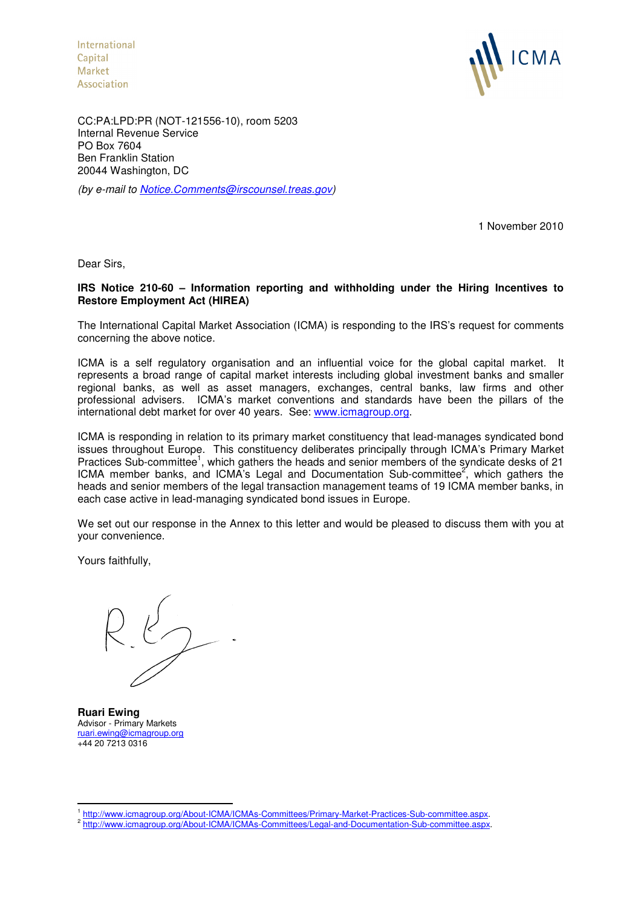International Capital **Market** Association



CC:PA:LPD:PR (NOT-121556-10), room 5203 Internal Revenue Service PO Box 7604 Ben Franklin Station 20044 Washington, DC

(by e-mail to Notice.Comments@irscounsel.treas.gov)

1 November 2010

Dear Sirs,

# **IRS Notice 210-60 – Information reporting and withholding under the Hiring Incentives to Restore Employment Act (HIREA)**

The International Capital Market Association (ICMA) is responding to the IRS's request for comments concerning the above notice.

ICMA is a self regulatory organisation and an influential voice for the global capital market. It represents a broad range of capital market interests including global investment banks and smaller regional banks, as well as asset managers, exchanges, central banks, law firms and other professional advisers. ICMA's market conventions and standards have been the pillars of the international debt market for over 40 years. See: www.icmagroup.org.

ICMA is responding in relation to its primary market constituency that lead-manages syndicated bond issues throughout Europe. This constituency deliberates principally through ICMA's Primary Market Practices Sub-committee<sup>1</sup>, which gathers the heads and senior members of the syndicate desks of 21 ICMA member banks, and ICMA's Legal and Documentation Sub-committee<sup>2</sup>, which gathers the heads and senior members of the legal transaction management teams of 19 ICMA member banks, in each case active in lead-managing syndicated bond issues in Europe.

We set out our response in the Annex to this letter and would be pleased to discuss them with you at your convenience.

Yours faithfully,

**Ruari Ewing**  Advisor - Primary Markets ruari.ewing@icmagroup.org +44 20 7213 0316

 $\overline{a}$ 

<sup>1</sup> http://www.icmagroup.org/About-ICMA/ICMAs-Committees/Primary-Market-Practices-Sub-committee.aspx.

<sup>&</sup>lt;sup>2</sup> http://www.icmagroup.org/About-ICMA/ICMAs-Committees/Legal-and-Documentation-Sub-committee.aspx.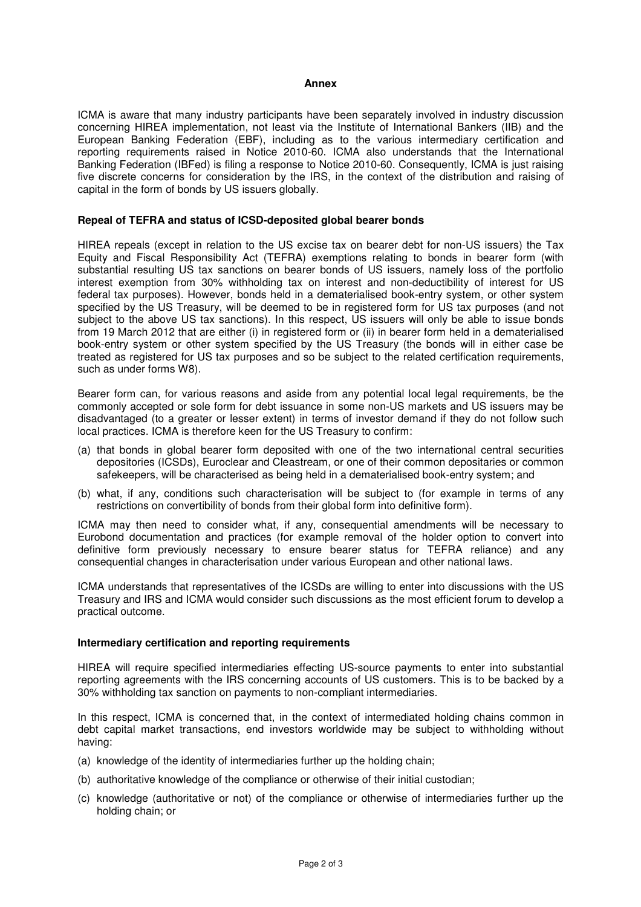## **Annex**

ICMA is aware that many industry participants have been separately involved in industry discussion concerning HIREA implementation, not least via the Institute of International Bankers (IIB) and the European Banking Federation (EBF), including as to the various intermediary certification and reporting requirements raised in Notice 2010-60. ICMA also understands that the International Banking Federation (IBFed) is filing a response to Notice 2010-60. Consequently, ICMA is just raising five discrete concerns for consideration by the IRS, in the context of the distribution and raising of capital in the form of bonds by US issuers globally.

### **Repeal of TEFRA and status of ICSD-deposited global bearer bonds**

HIREA repeals (except in relation to the US excise tax on bearer debt for non-US issuers) the Tax Equity and Fiscal Responsibility Act (TEFRA) exemptions relating to bonds in bearer form (with substantial resulting US tax sanctions on bearer bonds of US issuers, namely loss of the portfolio interest exemption from 30% withholding tax on interest and non-deductibility of interest for US federal tax purposes). However, bonds held in a dematerialised book-entry system, or other system specified by the US Treasury, will be deemed to be in registered form for US tax purposes (and not subject to the above US tax sanctions). In this respect, US issuers will only be able to issue bonds from 19 March 2012 that are either (i) in registered form or (ii) in bearer form held in a dematerialised book-entry system or other system specified by the US Treasury (the bonds will in either case be treated as registered for US tax purposes and so be subject to the related certification requirements, such as under forms W8).

Bearer form can, for various reasons and aside from any potential local legal requirements, be the commonly accepted or sole form for debt issuance in some non-US markets and US issuers may be disadvantaged (to a greater or lesser extent) in terms of investor demand if they do not follow such local practices. ICMA is therefore keen for the US Treasury to confirm:

- (a) that bonds in global bearer form deposited with one of the two international central securities depositories (ICSDs), Euroclear and Cleastream, or one of their common depositaries or common safekeepers, will be characterised as being held in a dematerialised book-entry system; and
- (b) what, if any, conditions such characterisation will be subject to (for example in terms of any restrictions on convertibility of bonds from their global form into definitive form).

ICMA may then need to consider what, if any, consequential amendments will be necessary to Eurobond documentation and practices (for example removal of the holder option to convert into definitive form previously necessary to ensure bearer status for TEFRA reliance) and any consequential changes in characterisation under various European and other national laws.

ICMA understands that representatives of the ICSDs are willing to enter into discussions with the US Treasury and IRS and ICMA would consider such discussions as the most efficient forum to develop a practical outcome.

## **Intermediary certification and reporting requirements**

HIREA will require specified intermediaries effecting US-source payments to enter into substantial reporting agreements with the IRS concerning accounts of US customers. This is to be backed by a 30% withholding tax sanction on payments to non-compliant intermediaries.

In this respect, ICMA is concerned that, in the context of intermediated holding chains common in debt capital market transactions, end investors worldwide may be subject to withholding without having:

- (a) knowledge of the identity of intermediaries further up the holding chain;
- (b) authoritative knowledge of the compliance or otherwise of their initial custodian;
- (c) knowledge (authoritative or not) of the compliance or otherwise of intermediaries further up the holding chain; or